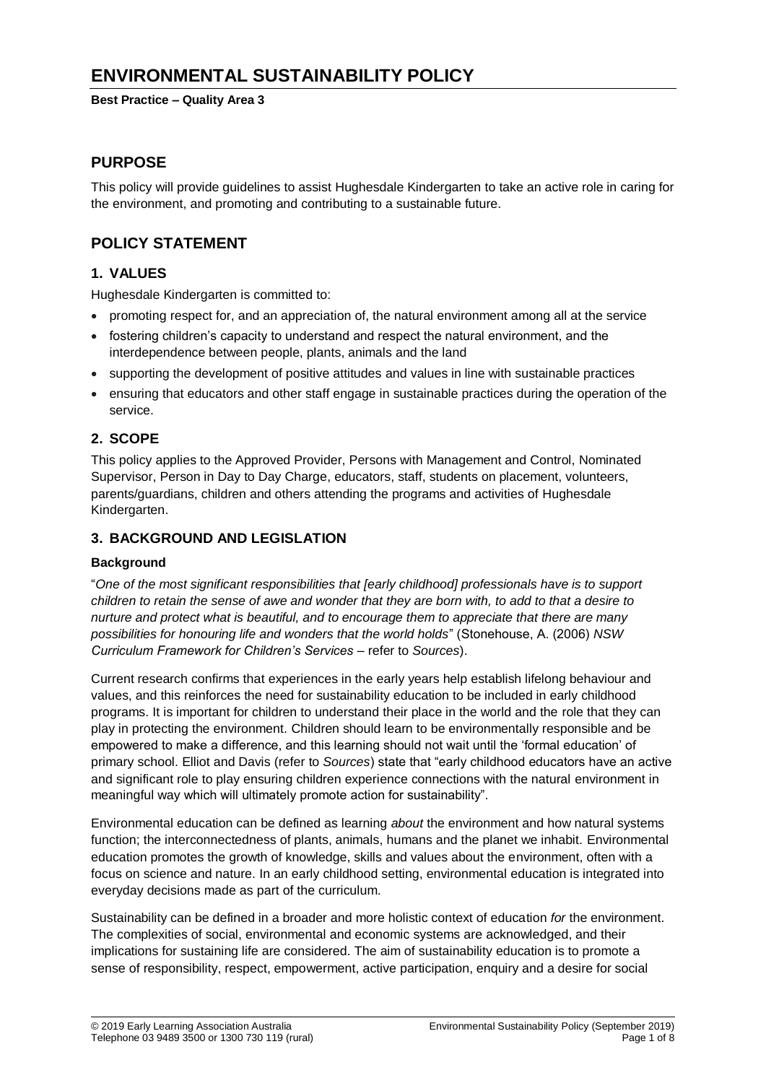# **ENVIRONMENTAL SUSTAINABILITY POLICY**

**Best Practice – Quality Area 3**

## **PURPOSE**

This policy will provide guidelines to assist Hughesdale Kindergarten to take an active role in caring for the environment, and promoting and contributing to a sustainable future.

# **POLICY STATEMENT**

### **1. VALUES**

Hughesdale Kindergarten is committed to:

- promoting respect for, and an appreciation of, the natural environment among all at the service
- fostering children's capacity to understand and respect the natural environment, and the interdependence between people, plants, animals and the land
- supporting the development of positive attitudes and values in line with sustainable practices
- ensuring that educators and other staff engage in sustainable practices during the operation of the service.

## **2. SCOPE**

This policy applies to the Approved Provider, Persons with Management and Control, Nominated Supervisor, Person in Day to Day Charge, educators, staff, students on placement, volunteers, parents/guardians, children and others attending the programs and activities of Hughesdale Kindergarten.

### **3. BACKGROUND AND LEGISLATION**

### **Background**

"*One of the most significant responsibilities that [early childhood] professionals have is to support children to retain the sense of awe and wonder that they are born with, to add to that a desire to nurture and protect what is beautiful, and to encourage them to appreciate that there are many possibilities for honouring life and wonders that the world holds*" (Stonehouse, A. (2006) *NSW Curriculum Framework for Children's Services* – refer to *Sources*).

Current research confirms that experiences in the early years help establish lifelong behaviour and values, and this reinforces the need for sustainability education to be included in early childhood programs. It is important for children to understand their place in the world and the role that they can play in protecting the environment. Children should learn to be environmentally responsible and be empowered to make a difference, and this learning should not wait until the 'formal education' of primary school. Elliot and Davis (refer to *Sources*) state that "early childhood educators have an active and significant role to play ensuring children experience connections with the natural environment in meaningful way which will ultimately promote action for sustainability".

Environmental education can be defined as learning *about* the environment and how natural systems function; the interconnectedness of plants, animals, humans and the planet we inhabit. Environmental education promotes the growth of knowledge, skills and values about the environment, often with a focus on science and nature. In an early childhood setting, environmental education is integrated into everyday decisions made as part of the curriculum.

Sustainability can be defined in a broader and more holistic context of education *for* the environment. The complexities of social, environmental and economic systems are acknowledged, and their implications for sustaining life are considered. The aim of sustainability education is to promote a sense of responsibility, respect, empowerment, active participation, enquiry and a desire for social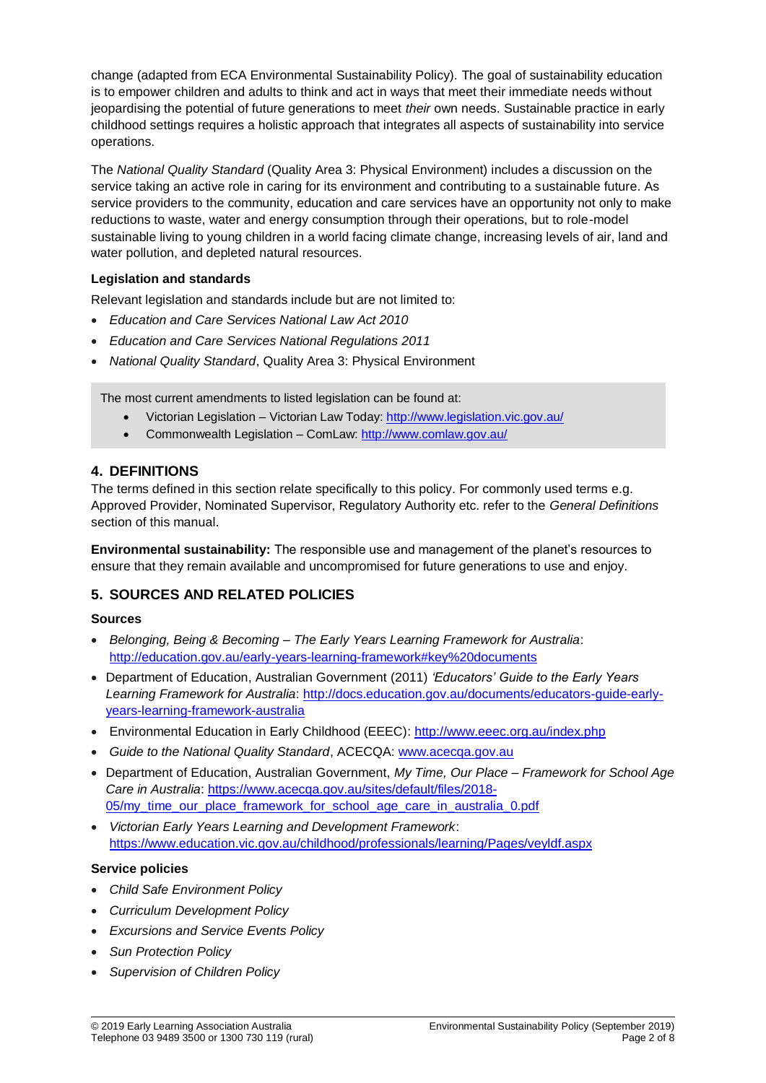change (adapted from ECA Environmental Sustainability Policy). The goal of sustainability education is to empower children and adults to think and act in ways that meet their immediate needs without jeopardising the potential of future generations to meet *their* own needs. Sustainable practice in early childhood settings requires a holistic approach that integrates all aspects of sustainability into service operations.

The *National Quality Standard* (Quality Area 3: Physical Environment) includes a discussion on the service taking an active role in caring for its environment and contributing to a sustainable future. As service providers to the community, education and care services have an opportunity not only to make reductions to waste, water and energy consumption through their operations, but to role-model sustainable living to young children in a world facing climate change, increasing levels of air, land and water pollution, and depleted natural resources.

### **Legislation and standards**

Relevant legislation and standards include but are not limited to:

- *Education and Care Services National Law Act 2010*
- *Education and Care Services National Regulations 2011*
- *National Quality Standard*, Quality Area 3: Physical Environment

The most current amendments to listed legislation can be found at:

- Victorian Legislation Victorian Law Today:<http://www.legislation.vic.gov.au/>
- Commonwealth Legislation ComLaw:<http://www.comlaw.gov.au/>

### **4. DEFINITIONS**

The terms defined in this section relate specifically to this policy. For commonly used terms e.g. Approved Provider, Nominated Supervisor, Regulatory Authority etc. refer to the *General Definitions* section of this manual.

**Environmental sustainability:** The responsible use and management of the planet's resources to ensure that they remain available and uncompromised for future generations to use and enjoy.

### **5. SOURCES AND RELATED POLICIES**

#### **Sources**

- *Belonging, Being & Becoming – The Early Years Learning Framework for Australia*: <http://education.gov.au/early-years-learning-framework#key%20documents>
- Department of Education, Australian Government (2011) *'Educators' Guide to the Early Years*  Learning Framework for Australia: [http://docs.education.gov.au/documents/educators-guide-early](http://docs.education.gov.au/documents/educators-guide-early-years-learning-framework-australia)[years-learning-framework-australia](http://docs.education.gov.au/documents/educators-guide-early-years-learning-framework-australia)
- Environmental Education in Early Childhood (EEEC): <http://www.eeec.org.au/index.php>
- *Guide to the National Quality Standard*, ACECQA: [www.acecqa.gov.au](http://www.acecqa.gov.au/)
- Department of Education, Australian Government, *My Time, Our Place – Framework for School Age Care in Australia*: [https://www.acecqa.gov.au/sites/default/files/2018-](https://www.acecqa.gov.au/sites/default/files/2018-05/my_time_our_place_framework_for_school_age_care_in_australia_0.pdf) [05/my\\_time\\_our\\_place\\_framework\\_for\\_school\\_age\\_care\\_in\\_australia\\_0.pdf](https://www.acecqa.gov.au/sites/default/files/2018-05/my_time_our_place_framework_for_school_age_care_in_australia_0.pdf)
- *Victorian Early Years Learning and Development Framework*: <https://www.education.vic.gov.au/childhood/professionals/learning/Pages/veyldf.aspx>

#### **Service policies**

- *Child Safe Environment Policy*
- *Curriculum Development Policy*
- *Excursions and Service Events Policy*
- *Sun Protection Policy*
- *Supervision of Children Policy*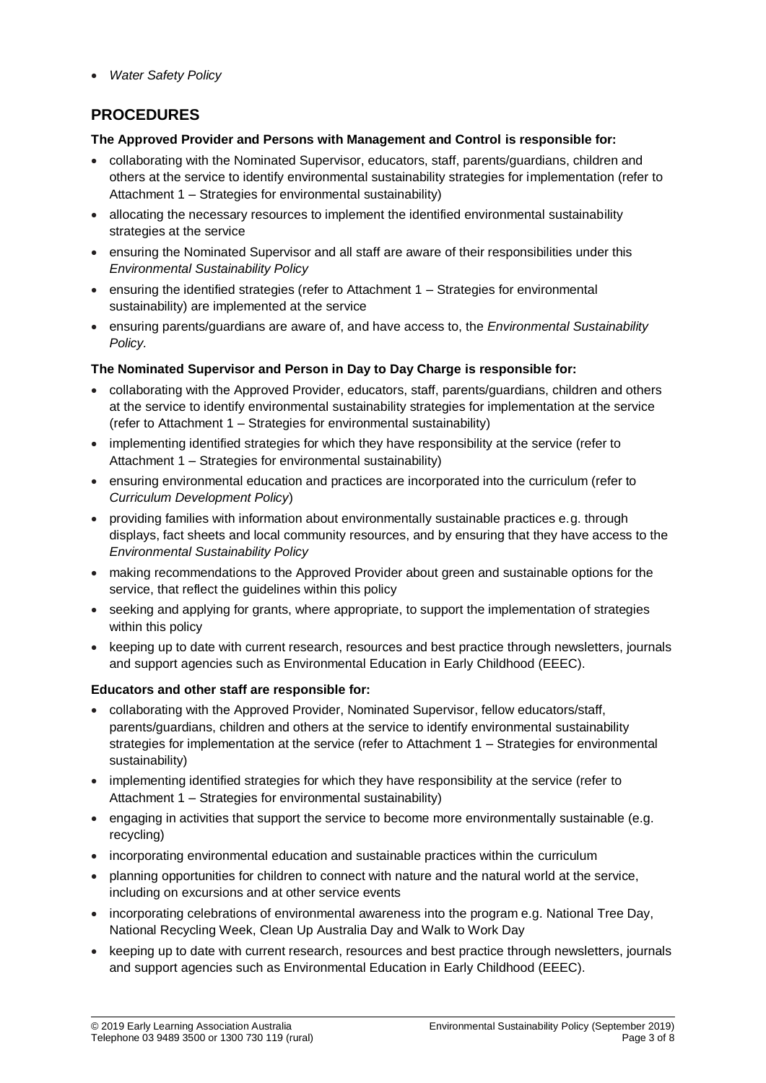*Water Safety Policy*

# **PROCEDURES**

### **The Approved Provider and Persons with Management and Control is responsible for:**

- collaborating with the Nominated Supervisor, educators, staff, parents/guardians, children and others at the service to identify environmental sustainability strategies for implementation (refer to Attachment 1 – Strategies for environmental sustainability)
- allocating the necessary resources to implement the identified environmental sustainability strategies at the service
- ensuring the Nominated Supervisor and all staff are aware of their responsibilities under this *Environmental Sustainability Policy*
- ensuring the identified strategies (refer to Attachment 1 Strategies for environmental sustainability) are implemented at the service
- ensuring parents/guardians are aware of, and have access to, the *Environmental Sustainability Policy.*

### **The Nominated Supervisor and Person in Day to Day Charge is responsible for:**

- collaborating with the Approved Provider, educators, staff, parents/guardians, children and others at the service to identify environmental sustainability strategies for implementation at the service (refer to Attachment 1 – Strategies for environmental sustainability)
- implementing identified strategies for which they have responsibility at the service (refer to Attachment 1 – Strategies for environmental sustainability)
- ensuring environmental education and practices are incorporated into the curriculum (refer to *Curriculum Development Policy*)
- providing families with information about environmentally sustainable practices e.g. through displays, fact sheets and local community resources, and by ensuring that they have access to the *Environmental Sustainability Policy*
- making recommendations to the Approved Provider about green and sustainable options for the service, that reflect the guidelines within this policy
- seeking and applying for grants, where appropriate, to support the implementation of strategies within this policy
- keeping up to date with current research, resources and best practice through newsletters, journals and support agencies such as Environmental Education in Early Childhood (EEEC).

### **Educators and other staff are responsible for:**

- collaborating with the Approved Provider, Nominated Supervisor, fellow educators/staff, parents/guardians, children and others at the service to identify environmental sustainability strategies for implementation at the service (refer to Attachment 1 – Strategies for environmental sustainability)
- implementing identified strategies for which they have responsibility at the service (refer to Attachment 1 – Strategies for environmental sustainability)
- engaging in activities that support the service to become more environmentally sustainable (e.g. recycling)
- incorporating environmental education and sustainable practices within the curriculum
- planning opportunities for children to connect with nature and the natural world at the service, including on excursions and at other service events
- incorporating celebrations of environmental awareness into the program e.g. National Tree Day, National Recycling Week, Clean Up Australia Day and Walk to Work Day
- keeping up to date with current research, resources and best practice through newsletters, journals and support agencies such as Environmental Education in Early Childhood (EEEC).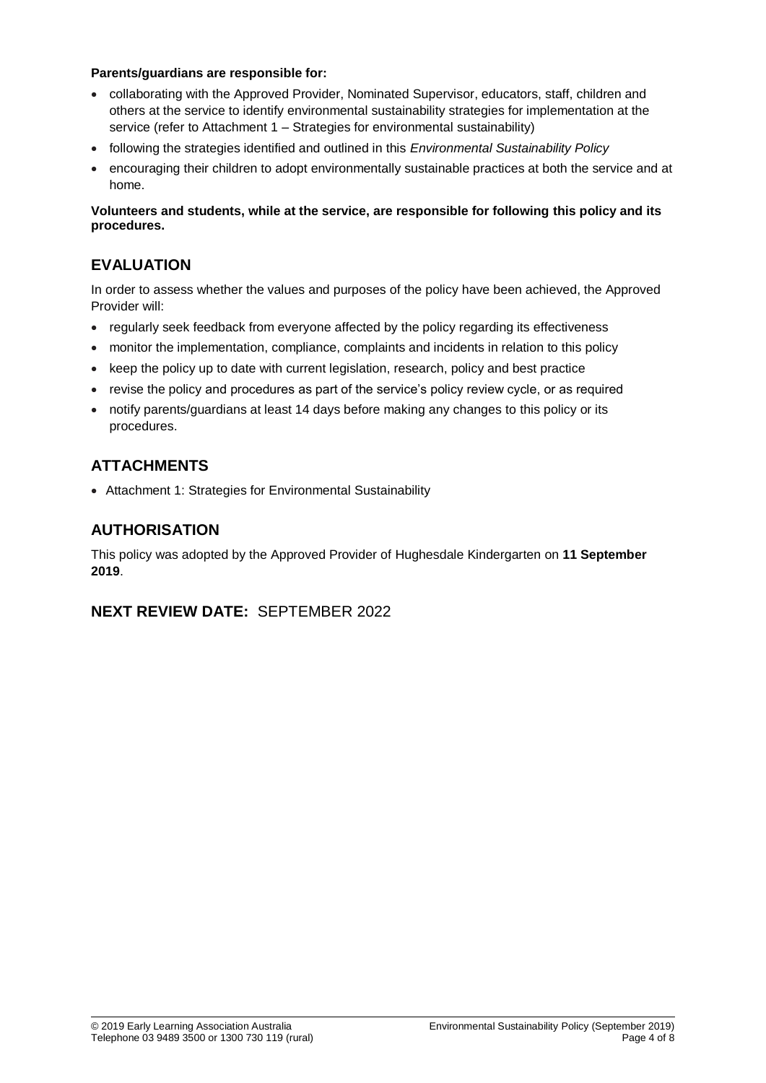#### **Parents/guardians are responsible for:**

- collaborating with the Approved Provider, Nominated Supervisor, educators, staff, children and others at the service to identify environmental sustainability strategies for implementation at the service (refer to Attachment 1 – Strategies for environmental sustainability)
- following the strategies identified and outlined in this *Environmental Sustainability Policy*
- encouraging their children to adopt environmentally sustainable practices at both the service and at home.

**Volunteers and students, while at the service, are responsible for following this policy and its procedures.**

# **EVALUATION**

In order to assess whether the values and purposes of the policy have been achieved, the Approved Provider will:

- regularly seek feedback from everyone affected by the policy regarding its effectiveness
- monitor the implementation, compliance, complaints and incidents in relation to this policy
- keep the policy up to date with current legislation, research, policy and best practice
- revise the policy and procedures as part of the service's policy review cycle, or as required
- notify parents/guardians at least 14 days before making any changes to this policy or its procedures.

# **ATTACHMENTS**

Attachment 1: Strategies for Environmental Sustainability

## **AUTHORISATION**

This policy was adopted by the Approved Provider of Hughesdale Kindergarten on **11 September 2019**.

### **NEXT REVIEW DATE:** SEPTEMBER 2022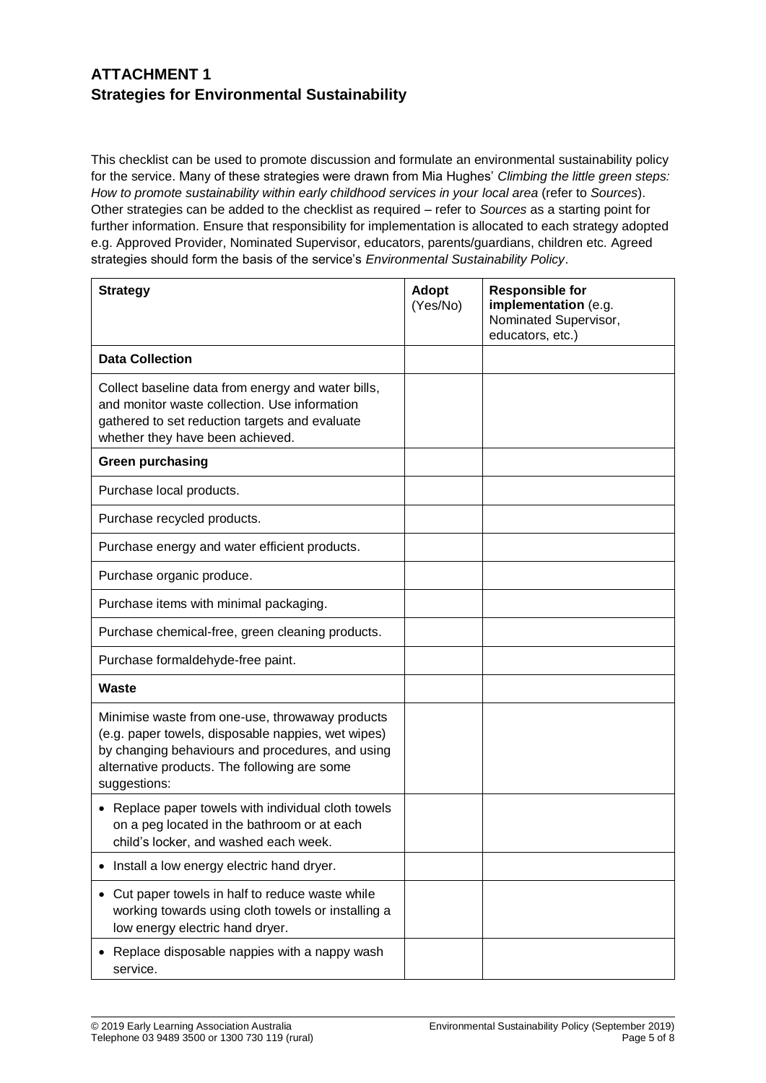# **ATTACHMENT 1 Strategies for Environmental Sustainability**

This checklist can be used to promote discussion and formulate an environmental sustainability policy for the service. Many of these strategies were drawn from Mia Hughes' *Climbing the little green steps: How to promote sustainability within early childhood services in your local area* (refer to *Sources*). Other strategies can be added to the checklist as required – refer to *Sources* as a starting point for further information. Ensure that responsibility for implementation is allocated to each strategy adopted e.g. Approved Provider, Nominated Supervisor, educators, parents/guardians, children etc. Agreed strategies should form the basis of the service's *Environmental Sustainability Policy*.

| <b>Strategy</b>                                                                                                                                                                                                           | Adopt<br>(Yes/No) | <b>Responsible for</b><br>implementation (e.g.<br>Nominated Supervisor,<br>educators, etc.) |
|---------------------------------------------------------------------------------------------------------------------------------------------------------------------------------------------------------------------------|-------------------|---------------------------------------------------------------------------------------------|
| <b>Data Collection</b>                                                                                                                                                                                                    |                   |                                                                                             |
| Collect baseline data from energy and water bills,<br>and monitor waste collection. Use information<br>gathered to set reduction targets and evaluate<br>whether they have been achieved.                                 |                   |                                                                                             |
| <b>Green purchasing</b>                                                                                                                                                                                                   |                   |                                                                                             |
| Purchase local products.                                                                                                                                                                                                  |                   |                                                                                             |
| Purchase recycled products.                                                                                                                                                                                               |                   |                                                                                             |
| Purchase energy and water efficient products.                                                                                                                                                                             |                   |                                                                                             |
| Purchase organic produce.                                                                                                                                                                                                 |                   |                                                                                             |
| Purchase items with minimal packaging.                                                                                                                                                                                    |                   |                                                                                             |
| Purchase chemical-free, green cleaning products.                                                                                                                                                                          |                   |                                                                                             |
| Purchase formaldehyde-free paint.                                                                                                                                                                                         |                   |                                                                                             |
| <b>Waste</b>                                                                                                                                                                                                              |                   |                                                                                             |
| Minimise waste from one-use, throwaway products<br>(e.g. paper towels, disposable nappies, wet wipes)<br>by changing behaviours and procedures, and using<br>alternative products. The following are some<br>suggestions: |                   |                                                                                             |
| Replace paper towels with individual cloth towels<br>$\bullet$<br>on a peg located in the bathroom or at each<br>child's locker, and washed each week.                                                                    |                   |                                                                                             |
| Install a low energy electric hand dryer.                                                                                                                                                                                 |                   |                                                                                             |
| Cut paper towels in half to reduce waste while<br>working towards using cloth towels or installing a<br>low energy electric hand dryer.                                                                                   |                   |                                                                                             |
| Replace disposable nappies with a nappy wash<br>service.                                                                                                                                                                  |                   |                                                                                             |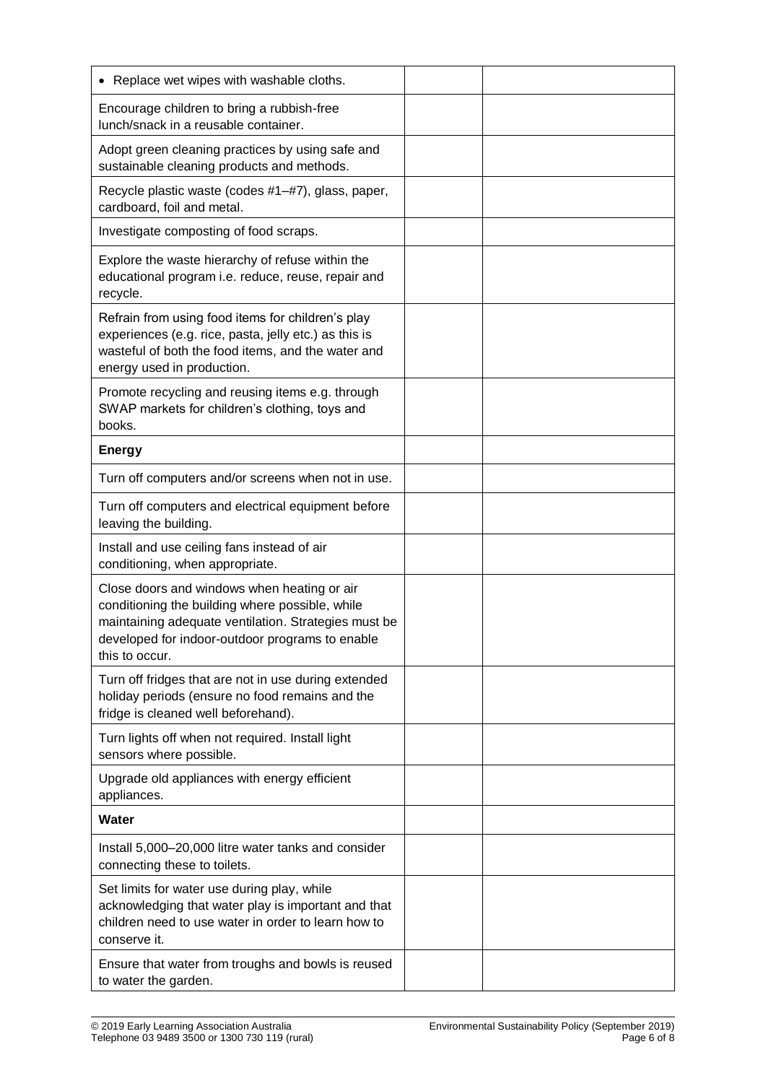| • Replace wet wipes with washable cloths.                                                                                                                                                                                   |  |
|-----------------------------------------------------------------------------------------------------------------------------------------------------------------------------------------------------------------------------|--|
| Encourage children to bring a rubbish-free<br>lunch/snack in a reusable container.                                                                                                                                          |  |
| Adopt green cleaning practices by using safe and<br>sustainable cleaning products and methods.                                                                                                                              |  |
| Recycle plastic waste (codes #1-#7), glass, paper,<br>cardboard, foil and metal.                                                                                                                                            |  |
| Investigate composting of food scraps.                                                                                                                                                                                      |  |
| Explore the waste hierarchy of refuse within the<br>educational program i.e. reduce, reuse, repair and<br>recycle.                                                                                                          |  |
| Refrain from using food items for children's play<br>experiences (e.g. rice, pasta, jelly etc.) as this is<br>wasteful of both the food items, and the water and<br>energy used in production.                              |  |
| Promote recycling and reusing items e.g. through<br>SWAP markets for children's clothing, toys and<br>books.                                                                                                                |  |
| <b>Energy</b>                                                                                                                                                                                                               |  |
| Turn off computers and/or screens when not in use.                                                                                                                                                                          |  |
| Turn off computers and electrical equipment before<br>leaving the building.                                                                                                                                                 |  |
| Install and use ceiling fans instead of air<br>conditioning, when appropriate.                                                                                                                                              |  |
| Close doors and windows when heating or air<br>conditioning the building where possible, while<br>maintaining adequate ventilation. Strategies must be<br>developed for indoor-outdoor programs to enable<br>this to occur. |  |
| Turn off fridges that are not in use during extended<br>holiday periods (ensure no food remains and the<br>fridge is cleaned well beforehand).                                                                              |  |
| Turn lights off when not required. Install light<br>sensors where possible.                                                                                                                                                 |  |
| Upgrade old appliances with energy efficient<br>appliances.                                                                                                                                                                 |  |
| <b>Water</b>                                                                                                                                                                                                                |  |
| Install 5,000-20,000 litre water tanks and consider<br>connecting these to toilets.                                                                                                                                         |  |
| Set limits for water use during play, while<br>acknowledging that water play is important and that<br>children need to use water in order to learn how to<br>conserve it.                                                   |  |
| Ensure that water from troughs and bowls is reused<br>to water the garden.                                                                                                                                                  |  |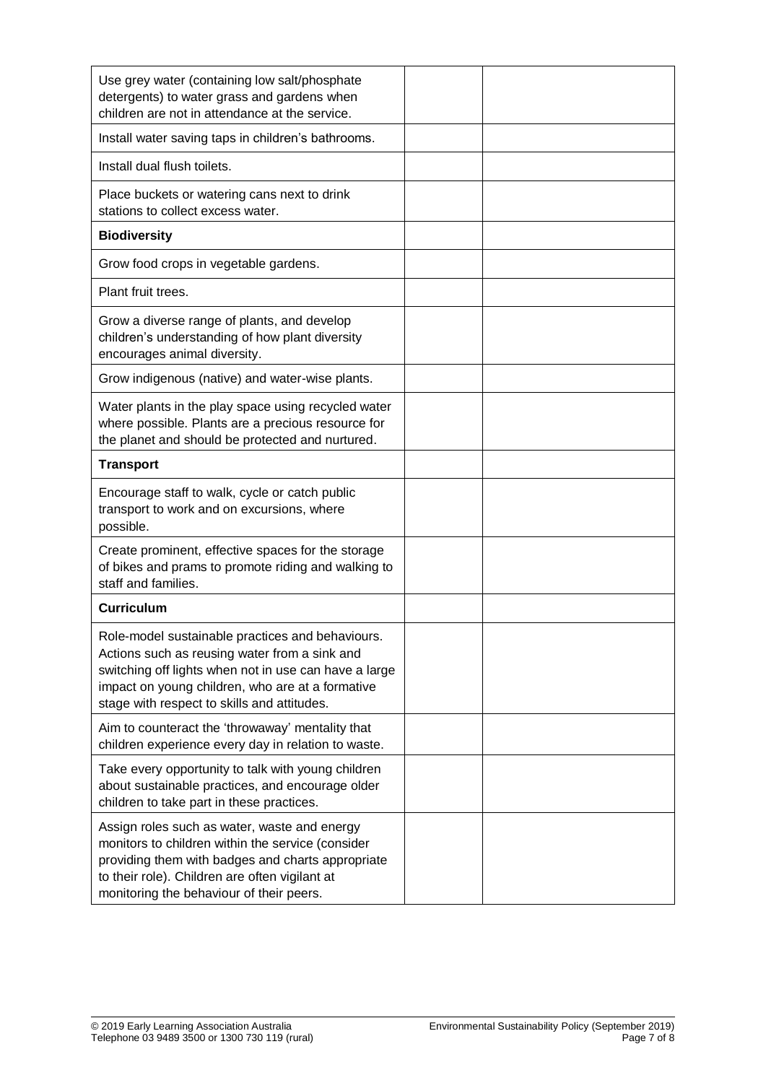| Use grey water (containing low salt/phosphate<br>detergents) to water grass and gardens when<br>children are not in attendance at the service.                                                                                                                |  |
|---------------------------------------------------------------------------------------------------------------------------------------------------------------------------------------------------------------------------------------------------------------|--|
| Install water saving taps in children's bathrooms.                                                                                                                                                                                                            |  |
| Install dual flush toilets.                                                                                                                                                                                                                                   |  |
| Place buckets or watering cans next to drink<br>stations to collect excess water.                                                                                                                                                                             |  |
| <b>Biodiversity</b>                                                                                                                                                                                                                                           |  |
| Grow food crops in vegetable gardens.                                                                                                                                                                                                                         |  |
| Plant fruit trees.                                                                                                                                                                                                                                            |  |
| Grow a diverse range of plants, and develop<br>children's understanding of how plant diversity<br>encourages animal diversity.                                                                                                                                |  |
| Grow indigenous (native) and water-wise plants.                                                                                                                                                                                                               |  |
| Water plants in the play space using recycled water<br>where possible. Plants are a precious resource for<br>the planet and should be protected and nurtured.                                                                                                 |  |
| <b>Transport</b>                                                                                                                                                                                                                                              |  |
| Encourage staff to walk, cycle or catch public<br>transport to work and on excursions, where<br>possible.                                                                                                                                                     |  |
| Create prominent, effective spaces for the storage<br>of bikes and prams to promote riding and walking to<br>staff and families.                                                                                                                              |  |
| <b>Curriculum</b>                                                                                                                                                                                                                                             |  |
| Role-model sustainable practices and behaviours.<br>Actions such as reusing water from a sink and<br>switching off lights when not in use can have a large<br>impact on young children, who are at a formative<br>stage with respect to skills and attitudes. |  |
| Aim to counteract the 'throwaway' mentality that<br>children experience every day in relation to waste.                                                                                                                                                       |  |
| Take every opportunity to talk with young children<br>about sustainable practices, and encourage older<br>children to take part in these practices.                                                                                                           |  |
| Assign roles such as water, waste and energy<br>monitors to children within the service (consider<br>providing them with badges and charts appropriate<br>to their role). Children are often vigilant at<br>monitoring the behaviour of their peers.          |  |